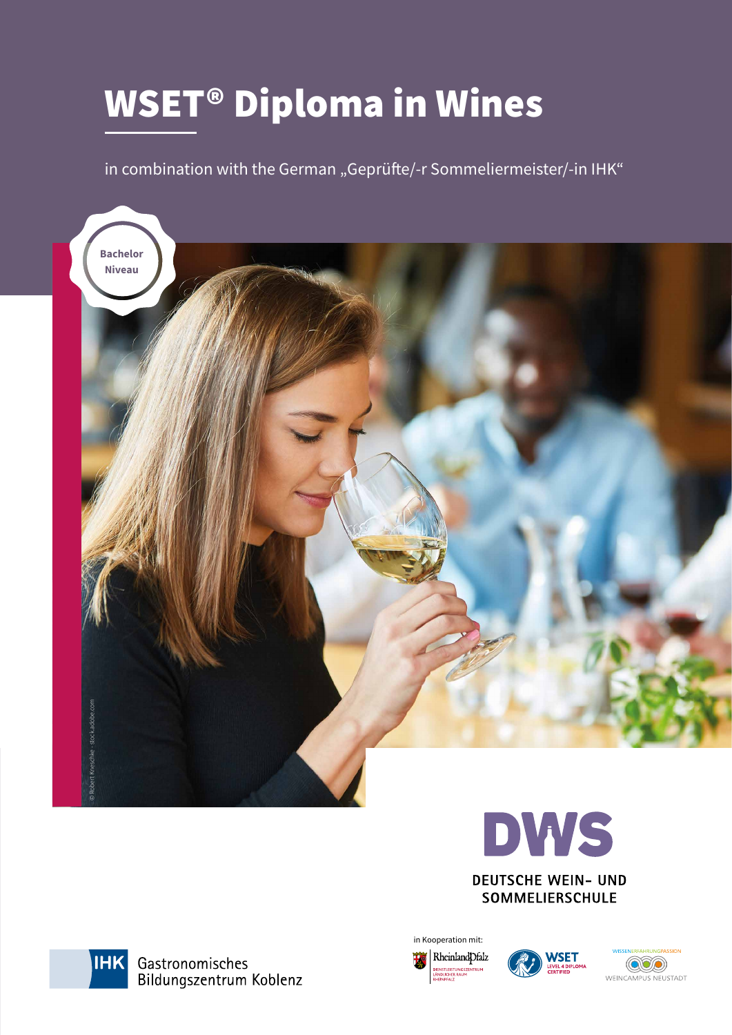# WSET® Diploma in Wines

in combination with the German "Geprüfte/-r Sommeliermeister/-in IHK"





**SOMMELIERSCHULE** 



in Kooperation mit: RheinlandDfalz **TLEISTUN** 



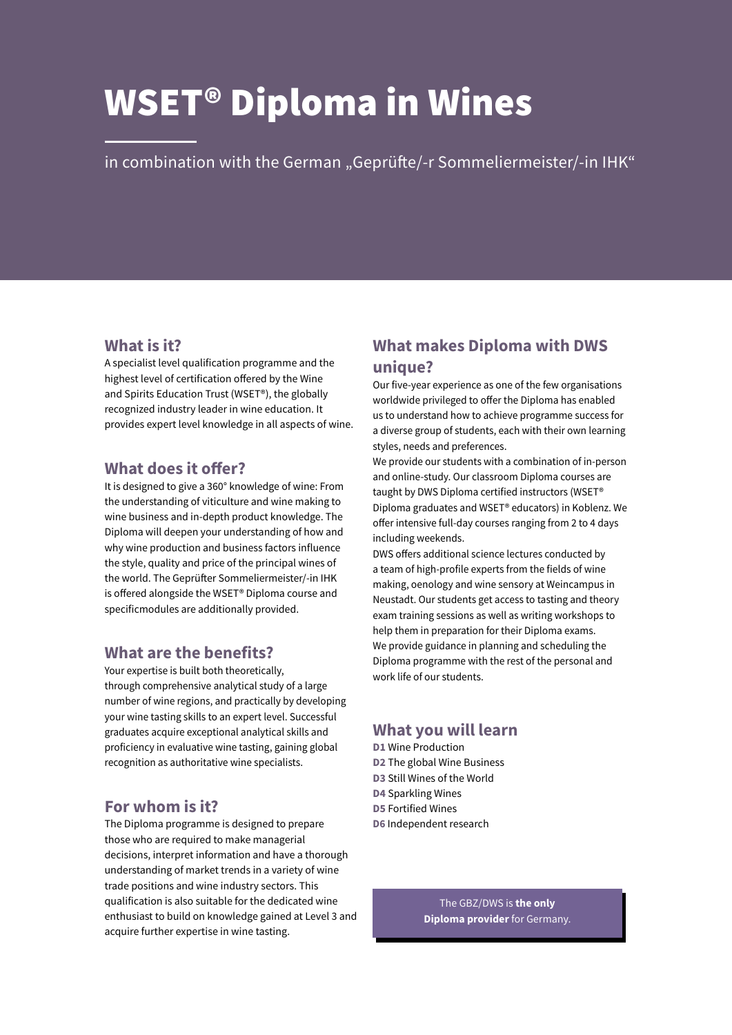# WSET® Diploma in Wines

in combination with the German "Geprüfte/-r Sommeliermeister/-in IHK"

## **What is it?**

A specialist level qualification programme and the highest level of certification offered by the Wine and Spirits Education Trust (WSET®), the globally recognized industry leader in wine education. It provides expert level knowledge in all aspects of wine.

## **What does it offer?**

It is designed to give a 360° knowledge of wine: From the understanding of viticulture and wine making to wine business and in-depth product knowledge. The Diploma will deepen your understanding of how and why wine production and business factors influence the style, quality and price of the principal wines of the world. The Geprüfter Sommeliermeister/-in IHK is offered alongside the WSET® Diploma course and specificmodules are additionally provided.

## **What are the benefits?**

Your expertise is built both theoretically, through comprehensive analytical study of a large number of wine regions, and practically by developing your wine tasting skills to an expert level. Successful graduates acquire exceptional analytical skills and proficiency in evaluative wine tasting, gaining global recognition as authoritative wine specialists.

# **For whom is it?**

The Diploma programme is designed to prepare those who are required to make managerial decisions, interpret information and have a thorough understanding of market trends in a variety of wine trade positions and wine industry sectors. This qualification is also suitable for the dedicated wine enthusiast to build on knowledge gained at Level 3 and acquire further expertise in wine tasting.

# **What makes Diploma with DWS unique?**

Our five-year experience as one of the few organisations worldwide privileged to offer the Diploma has enabled us to understand how to achieve programme success for a diverse group of students, each with their own learning styles, needs and preferences.

We provide our students with a combination of in-person and online-study. Our classroom Diploma courses are taught by DWS Diploma certified instructors (WSET® Diploma graduates and WSET® educators) in Koblenz. We offer intensive full-day courses ranging from 2 to 4 days including weekends.

DWS offers additional science lectures conducted by a team of high-profile experts from the fields of wine making, oenology and wine sensory at Weincampus in Neustadt. Our students get access to tasting and theory exam training sessions as well as writing workshops to help them in preparation for their Diploma exams. We provide guidance in planning and scheduling the Diploma programme with the rest of the personal and work life of our students.

## **What you will learn**

**D1** Wine Production **D2** The global Wine Business **D3** Still Wines of the World **D4** Sparkling Wines **D5** Fortified Wines **D6** Independent research

> The GBZ/DWS is **the only Diploma provider** for Germany.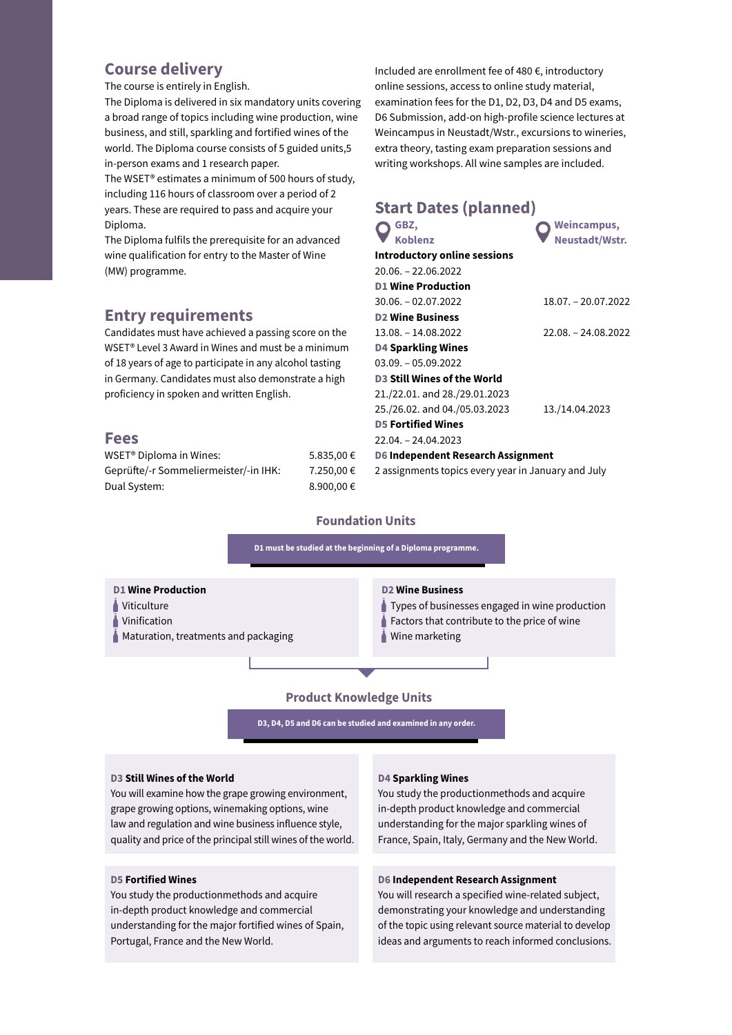## **Course delivery**

The course is entirely in English.

The Diploma is delivered in six mandatory units covering a broad range of topics including wine production, wine business, and still, sparkling and fortified wines of the world. The Diploma course consists of 5 guided units,5 in-person exams and 1 research paper.

The WSET® estimates a minimum of 500 hours of study, including 116 hours of classroom over a period of 2 years. These are required to pass and acquire your Diploma.

The Diploma fulfils the prerequisite for an advanced wine qualification for entry to the Master of Wine (MW) programme.

## **Entry requirements**

Candidates must have achieved a passing score on the WSET® Level 3 Award in Wines and must be a minimum of 18 years of age to participate in any alcohol tasting in Germany. Candidates must also demonstrate a high proficiency in spoken and written English.

## **Fees**

| WSET <sup>®</sup> Diploma in Wines:   | 5.835,00€  |
|---------------------------------------|------------|
| Geprüfte/-r Sommeliermeister/-in IHK: | 7.250,00 € |
| Dual System:                          | 8.900,00€  |

Included are enrollment fee of 480 €, introductory online sessions, access to online study material, examination fees for the D1, D2, D3, D4 and D5 exams, D6 Submission, add-on high-profile science lectures at Weincampus in Neustadt/Wstr., excursions to wineries, extra theory, tasting exam preparation sessions and writing workshops. All wine samples are included.

| <b>Start Dates (planned)</b>                        |                      |
|-----------------------------------------------------|----------------------|
| GBZ,                                                | Weincampus,          |
| <b>Koblenz</b>                                      | Neustadt/Wstr.       |
| <b>Introductory online sessions</b>                 |                      |
| $20.06 - 22.06.2022$                                |                      |
| <b>D1 Wine Production</b>                           |                      |
| $30.06 - 02.07.2022$                                | 18.07. - 20.07.2022  |
| <b>D2 Wine Business</b>                             |                      |
| $13.08 - 14.08.2022$                                | $22.08 - 24.08.2022$ |
| <b>D4 Sparkling Wines</b>                           |                      |
| $03.09. - 05.09.2022$                               |                      |
| <b>D3 Still Wines of the World</b>                  |                      |
| 21./22.01. and 28./29.01.2023                       |                      |
| 25./26.02. and 04./05.03.2023                       | 13./14.04.2023       |
| <b>D5 Fortified Wines</b>                           |                      |
| $22.04. - 24.04.2023$                               |                      |
| D6 Independent Research Assignment                  |                      |
| 2 assignments topics every year in January and July |                      |

## **Foundation Units**



### **D3 Still Wines of the World**

You will examine how the grape growing environment, grape growing options, winemaking options, wine law and regulation and wine business influence style, quality and price of the principal still wines of the world.

#### **D5 Fortified Wines**

You study the productionmethods and acquire in-depth product knowledge and commercial understanding for the major fortified wines of Spain, Portugal, France and the New World.

### **D4 Sparkling Wines**

You study the productionmethods and acquire in-depth product knowledge and commercial understanding for the major sparkling wines of France, Spain, Italy, Germany and the New World.

#### **D6 Independent Research Assignment**

You will research a specified wine-related subject, demonstrating your knowledge and understanding of the topic using relevant source material to develop ideas and arguments to reach informed conclusions.